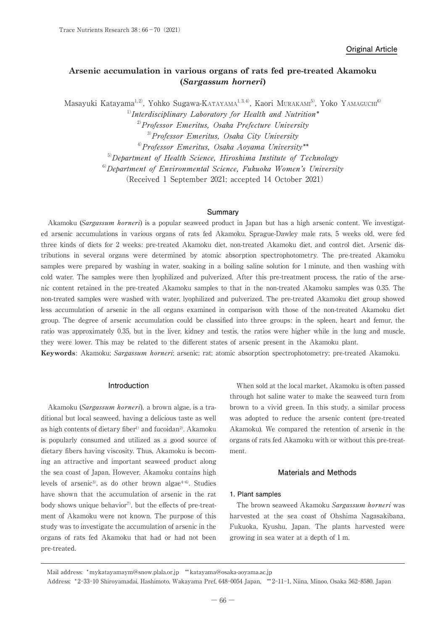# **Arsenic accumulation in various organs of rats fed pre-treated Akamoku (***Sargassum horneri***)**

Masayuki Katayama<sup>1, 2)</sup>, Yohko Sugawa-Katayama<sup>1, 3, 4)</sup>, Kaori Murakam<sup>5)</sup>, Yoko Yamaguch<sup>6)</sup>

 $1)$ Interdisciplinary Laboratory for Health and Nutrition\*

 $2^{2}$ Professor Emeritus, Osaka Prefecture University

 $3$ <sup>3)</sup>Professor Emeritus, Osaka City University

 $40$ Professor Emeritus, Osaka Aoyama University\*\*

<sup>5)</sup>Department of Health Science, Hiroshima Institute of Technology

 $6D$ ebartment of Environmental Science, Fukuoka Women's University

(Received 1 September 2021; accepted 14 October 2021)

# **Summary**

Akamoku (Sargassum horneri) is a popular seaweed product in Japan but has a high arsenic content. We investigated arsenic accumulations in various organs of rats fed Akamoku. Sprague-Dawley male rats, 5 weeks old, were fed three kinds of diets for 2 weeks: pre-treated Akamoku diet, non-treated Akamoku diet, and control diet. Arsenic distributions in several organs were determined by atomic absorption spectrophotometry. The pre-treated Akamoku samples were prepared by washing in water, soaking in a boiling saline solution for 1 minute, and then washing with cold water. The samples were then lyophilized and pulverized. After this pre-treatment process, the ratio of the arsenic content retained in the pre-treated Akamoku samples to that in the non-treated Akamoku samples was 0.35. The non-treated samples were washed with water, lyophilized and pulverized. The pre-treated Akamoku diet group showed less accumulation of arsenic in the all organs examined in comparison with those of the non-treated Akamoku diet group. The degree of arsenic accumulation could be classified into three groups: in the spleen, heart and femur, the ratio was approximately 0.35, but in the liver, kidney and testis, the ratios were higher while in the lung and muscle, they were lower. This may be related to the different states of arsenic present in the Akamoku plant.

**Keywords**: Akamoku; Sargassum horneri; arsenic; rat; atomic absorption spectrophotometry; pre-treated Akamoku.

#### **Introduction**

Akamoku (Sargassum horneri), a brown algae, is a traditional but local seaweed, having a delicious taste as well as high contents of dietary fiber<sup>1)</sup> and fucoidan<sup>2</sup>. Akamoku is popularly consumed and utilized as a good source of dietary fibers having viscosity. Thus, Akamoku is becoming an attractive and important seaweed product along the sea coast of Japan. However, Akamoku contains high levels of arsenic<sup>3</sup>, as do other brown algae<sup> $4-6$ </sup>. Studies have shown that the accumulation of arsenic in the rat body shows unique behavior<sup>7)</sup>, but the effects of pre-treatment of Akamoku were not known. The purpose of this study was to investigate the accumulation of arsenic in the organs of rats fed Akamoku that had or had not been pre-treated.

When sold at the local market, Akamoku is often passed through hot saline water to make the seaweed turn from brown to a vivid green. In this study, a similar process was adopted to reduce the arsenic content (pre-treated Akamoku). We compared the retention of arsenic in the organs of rats fed Akamoku with or without this pre-treatment.

## **Materials and Methods**

#### **1. Plant samples**

The brown seaweed Akamoku Sargassum horneri was harvested at the sea coast of Ohshima Nagasakibana, Fukuoka, Kyushu, Japan. The plants harvested were growing in sea water at a depth of 1 m.

Mail address: \* mykatayamaym@snow.plala.or.jp \*\* katayama@osaka-aoyama.ac.jp

Address: \* 2-33-10 Shiroyamadai, Hashimoto, Wakayama Pref, 648-0054 Japan, \*\* 2-11-1, Niina, Minoo, Osaka 562-8580, Japan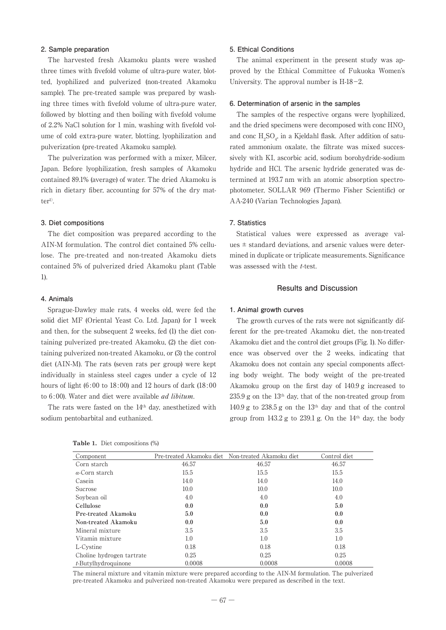#### **2. Sample preparation**

The harvested fresh Akamoku plants were washed three times with fivefold volume of ultra-pure water, blotted, lyophilized and pulverized (non-treated Akamoku sample). The pre-treated sample was prepared by washing three times with fivefold volume of ultra-pure water, followed by blotting and then boiling with fivefold volume of 2.2% NaCl solution for 1 min, washing with fivefold volume of cold extra-pure water, blotting, lyophilization and pulverization (pre-treated Akamoku sample).

The pulverization was performed with a mixer, Milcer, Japan. Before lyophilization, fresh samples of Akamoku contained 89.1% (average) of water. The dried Akamoku is rich in dietary fiber, accounting for 57% of the dry matter<sup>1)</sup>.

### **3. Diet compositions**

The diet composition was prepared according to the AIN-M formulation. The control diet contained 5% cellulose. The pre-treated and non-treated Akamoku diets contained 5% of pulverized dried Akamoku plant (Table 1).

## **4. Animals**

Sprague-Dawley male rats, 4 weeks old, were fed the solid diet MF (Oriental Yeast Co. Ltd. Japan) for 1 week and then, for the subsequent 2 weeks, fed (1) the diet containing pulverized pre-treated Akamoku, (2) the diet containing pulverized non-treated Akamoku, or (3) the control diet (AIN-M). The rats (seven rats per group) were kept individually in stainless steel cages under a cycle of 12 hours of light  $(6:00 \text{ to } 18:00)$  and 12 hours of dark  $(18:00 \text{)}$ to 6:00). Water and diet were available *ad libitum*.

The rats were fasted on the 14th day, anesthetized with sodium pentobarbital and euthanized.

# **5. Ethical Conditions**

The animal experiment in the present study was approved by the Ethical Committee of Fukuoka Women's University. The approval number is H-18-2.

## **6. Determination of arsenic in the samples**

The samples of the respective organs were lyophilized, and the dried specimens were decomposed with conc HNO<sub>3</sub> and conc  $H_2SO_4$ , in a Kjeldahl flask. After addition of saturated ammonium oxalate, the filtrate was mixed successively with KI, ascorbic acid, sodium borohydride-sodium hydride and HCl. The arsenic hydride generated was determined at 193.7 nm with an atomic absorption spectrophotometer, SOLLAR 969 (Thermo Fisher Scientific) or AA-240 (Varian Technologies Japan).

## **7. Statistics**

Statistical values were expressed as average values  $\pm$  standard deviations, and arsenic values were determined in duplicate or triplicate measurements. Significance was assessed with the *t*-test.

#### **Results and Discussion**

#### **1. Animal growth curves**

The growth curves of the rats were not significantly different for the pre-treated Akamoku diet, the non-treated Akamoku diet and the control diet groups (Fig. 1). No difference was observed over the 2 weeks, indicating that Akamoku does not contain any special components affecting body weight. The body weight of the pre-treated Akamoku group on the first day of 140.9 g increased to  $235.9$  g on the  $13<sup>th</sup>$  day, that of the non-treated group from 140.9 g to  $238.5$  g on the  $13<sup>th</sup>$  day and that of the control group from  $143.2$  g to  $239.1$  g. On the  $14<sup>th</sup>$  day, the body

| Component                 |        | Pre-treated Akamoku diet Non-treated Akamoku diet | Control diet |
|---------------------------|--------|---------------------------------------------------|--------------|
| Corn starch               | 46.57  | 46.57                                             | 46.57        |
| $\alpha$ -Corn starch     | 15.5   | 15.5                                              | 15.5         |
| Casein                    | 14.0   | 14.0                                              | 14.0         |
| Sucrose                   | 10.0   | 10.0                                              | 10.0         |
| Soybean oil               | 4.0    | 4.0                                               | 4.0          |
| Cellulose                 | 0.0    | 0.0                                               | 5.0          |
| Pre-treated Akamoku       | 5.0    | 0.0                                               | 0.0          |
| Non-treated Akamoku       | 0.0    | 5.0                                               | 0.0          |
| Mineral mixture           | 3.5    | 3.5                                               | 3.5          |
| Vitamin mixture           | 1.0    | 1.0                                               | 1.0          |
| L-Cystine                 | 0.18   | 0.18                                              | 0.18         |
| Choline hydrogen tartrate | 0.25   | 0.25                                              | 0.25         |
| $t$ -Butylhydroquinone    | 0.0008 | 0.0008                                            | 0.0008       |

**Table 1.** Diet compositions (%)

The mineral mixture and vitamin mixture were prepared according to the AIN-M formulation. The pulverized pre-treated Akamoku and pulverized non-treated Akamoku were prepared as described in the text.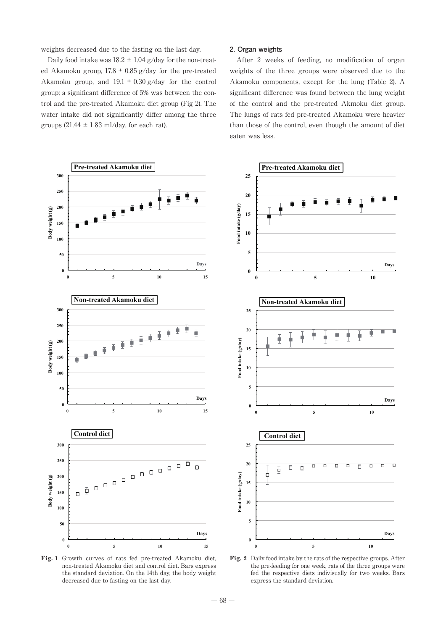weights decreased due to the fasting on the last day.

Daily food intake was  $18.2 \pm 1.04$  g/day for the non-treated Akamoku group,  $17.8 \pm 0.85$  g/day for the pre-treated Akamoku group, and  $19.1 \pm 0.30$  g/day for the control group; a significant difference of 5% was between the control and the pre-treated Akamoku diet group (Fig 2). The water intake did not significantly differ among the three groups  $(21.44 \pm 1.83 \text{ ml/day})$ , for each rat).

### **2. Organ weights**

After 2 weeks of feeding, no modification of organ weights of the three groups were observed due to the Akamoku components, except for the lung (Table 2). A significant difference was found between the lung weight of the control and the pre-treated Akmoku diet group. The lungs of rats fed pre-treated Akamoku were heavier than those of the control, even though the amount of diet eaten was less.



**Fig. 1** Growth curves of rats fed pre-treated Akamoku diet, non-treated Akamoku diet and control diet. Bars express the standard deviation. On the 14th day, the body weight decreased due to fasting on the last day.

**Fig. 2** Daily food intake by the rats of the respective groups. After the pre-feeding for one week, rats of the three groups were fed the respective diets indivisually for two weeks. Bars express the standard deviation.

**Days**

 $\Box$  $\overline{\phantom{a}}$ 

**Days**

**Days**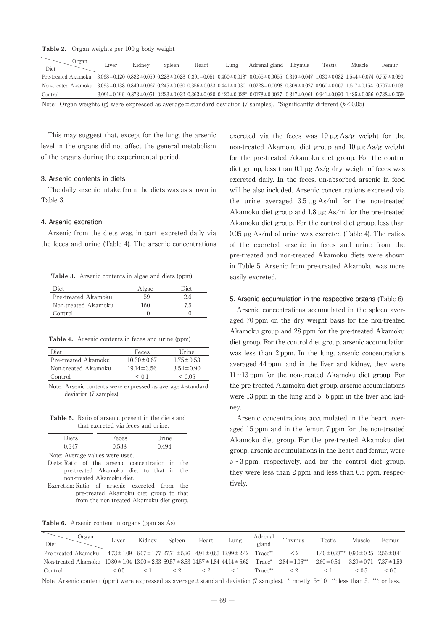**Table 2.** Organ weights per 100 g body weight

| Organ<br>Diet                                                                                                                                  | Liver | Kidney | Spleen | Heart | Lung | Adrenal gland                                                                                                                                                                                      | Thymus | Testis | Muscle | Femur |
|------------------------------------------------------------------------------------------------------------------------------------------------|-------|--------|--------|-------|------|----------------------------------------------------------------------------------------------------------------------------------------------------------------------------------------------------|--------|--------|--------|-------|
| Pre-treated Akamoku 3.068±0.120 0.882±0.059 0.228±0.028 0.391±0.051 0.460±0.018* 0.0165±0.0055 0.310±0.047 1.030±0.082 1.544±0.074 0.757±0.090 |       |        |        |       |      |                                                                                                                                                                                                    |        |        |        |       |
| Non-treated Akamoku 3.093±0.138 0.849±0.067 0.245±0.030 0.356±0.033 0.441±0.030 0.0228±0.0098 0.309±0.027 0.960±0.067 1.517±0.154 0.707±0.103  |       |        |        |       |      |                                                                                                                                                                                                    |        |        |        |       |
| Control                                                                                                                                        |       |        |        |       |      | $3.091 \pm 0.196$ $0.873 \pm 0.051$ $0.223 \pm 0.032$ $0.363 \pm 0.020$ $0.420 \pm 0.028$ <sup>*</sup> $0.0178 \pm 0.0027$ $0.347 \pm 0.061$ $0.941 \pm 0.090$ $1.485 \pm 0.056$ $0.738 \pm 0.059$ |        |        |        |       |
| Note: Organ weights (g) were expressed as average $\pm$ standard deviation (7 samples). *Significantly different ( $p < 0.05$ )                |       |        |        |       |      |                                                                                                                                                                                                    |        |        |        |       |

This may suggest that, except for the lung, the arsenic level in the organs did not affect the general metabolism of the organs during the experimental period.

## **3. Arsenic contents in diets**

The daily arsenic intake from the diets was as shown in Table 3.

#### **4. Arsenic excretion**

Arsenic from the diets was, in part, excreted daily via the feces and urine (Table 4). The arsenic concentrations

**Table 3.** Arsenic contents in algae and diets (ppm)

| Diet                | Algae | Diet |
|---------------------|-------|------|
| Pre-treated Akamoku | 59    | 2.6  |
| Non-treated Akamoku | 160   | 7.5  |
| Control             |       |      |

**Table 4.** Arsenic contents in feces and urine (ppm)

| Feces            | Urine           |
|------------------|-----------------|
| $10.30 \pm 0.67$ | $1.75 \pm 0.53$ |
| $19.14 \pm 3.56$ | $3.54 \pm 0.90$ |
| $\leq 0.1$       | < 0.05          |
|                  |                 |

Note: Arsenic contents were expressed as average±standard deviation (7 samples).

**Table 5.** Ratio of arsenic present in the diets and that excreted via feces and urine.

| <b>Diets</b>                    | Feces | Urine |  |
|---------------------------------|-------|-------|--|
| 0.347                           | 0.538 | 0.494 |  |
| Note: Average values were used. |       |       |  |

Diets: Ratio of the arsenic concentration in the pre-treated Akamoku diet to that in the non-treated Akamoku diet.

Excretion: Ratio of arsenic excreted from the pre-treated Akamoku diet group to that from the non-treated Akamoku diet group.

excreted via the feces was  $19 \mu$ g As/g weight for the non-treated Akamoku diet group and 10 µg As/g weight for the pre-treated Akamoku diet group. For the control diet group, less than 0.1 µg As/g dry weight of feces was excreted daily. In the feces, un-absorbed arsenic in food will be also included. Arsenic concentrations excreted via the urine averaged 3.5 µg As/ml for the non-treated Akamoku diet group and 1.8 µg As/ml for the pre-treated Akamoku diet group. For the control diet group, less than 0.05 µg As/ml of urine was excreted (Table 4). The ratios of the excreted arsenic in feces and urine from the pre-treated and non-treated Akamoku diets were shown in Table 5. Arsenic from pre-treated Akamoku was more easily excreted.

# **5. Arsenic accumulation in the respective organs** (Table 6)

Arsenic concentrations accumulated in the spleen averaged 70 ppm on the dry weight basis for the non-treated Akamoku group and 28 ppm for the pre-treated Akamoku diet group. For the control diet group, arsenic accumulation was less than 2 ppm. In the lung, arsenic concentrations averaged 44 ppm, and in the liver and kidney, they were 11~13 ppm for the non-treated Akamoku diet group. For the pre-treated Akamoku diet group, arsenic accumulations were 13 ppm in the lung and 5~6 ppm in the liver and kidney.

Arsenic concentrations accumulated in the heart averaged 15 ppm and in the femur, 7 ppm for the non-treated Akamoku diet group. For the pre-treated Akamoku diet group, arsenic accumulations in the heart and femur, were  $5-3$  ppm, respectively, and for the control diet group, they were less than 2 ppm and less than 0.5 ppm, respectively.

**Table 6.** Arsenic content in organs (ppm as As)

| Organ<br>Diet                                                                                            | Liver | Kidney | Spleen | Heart    | Lung                                                                                      | Adrenal<br>gland | Thymus           | Testis                                              | Muscle | Femur                           |
|----------------------------------------------------------------------------------------------------------|-------|--------|--------|----------|-------------------------------------------------------------------------------------------|------------------|------------------|-----------------------------------------------------|--------|---------------------------------|
| Pre-treated Akamoku                                                                                      |       |        |        |          | $4.73 \pm 1.09$ 6.07 $\pm 1.77$ 27.71 $\pm 5.26$ 4.91 $\pm 0.65$ 12.99 $\pm 2.42$ Trace** |                  | $\leq$ 2         | $1.40 \pm 0.23$ *** $0.90 \pm 0.25$ $2.56 \pm 0.41$ |        |                                 |
| Non-treated Akamoku $10.80 \pm 1.04$ $13.00 \pm 2.33$ $69.57 \pm 8.53$ $14.57 \pm 1.84$ $44.14 \pm 6.62$ |       |        |        |          |                                                                                           | Trace*           | $284 \pm 106***$ | $2.60 \pm 0.54$                                     |        | $3.29 \pm 0.71$ $7.37 \pm 1.59$ |
| Control                                                                                                  | < 0.5 |        |        | $\leq$ 2 | $\leq$ 1                                                                                  | $Trace^{**}$     | $\leq 2$         |                                                     | < 0.5  | < 0.5                           |

Note: Arsenic content (ppm) were expressed as average  $\pm$  standard deviation (7 samples). \*: mostly, 5~10. \*\*: less than 5. \*\*\*: or less.